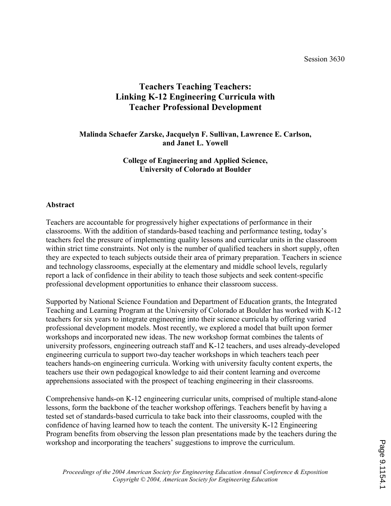#### Session 3630

# Teachers Teaching Teachers: Linking K-12 Engineering Curricula with Teacher Professional Development

#### Malinda Schaefer Zarske, Jacquelyn F. Sullivan, Lawrence E. Carlson, and Janet L. Yowell

#### College of Engineering and Applied Science, University of Colorado at Boulder

#### Abstract

Teachers are accountable for progressively higher expectations of performance in their classrooms. With the addition of standards-based teaching and performance testing, today's teachers feel the pressure of implementing quality lessons and curricular units in the classroom within strict time constraints. Not only is the number of qualified teachers in short supply, often they are expected to teach subjects outside their area of primary preparation. Teachers in science and technology classrooms, especially at the elementary and middle school levels, regularly report a lack of confidence in their ability to teach those subjects and seek content-specific professional development opportunities to enhance their classroom success.

Supported by National Science Foundation and Department of Education grants, the Integrated Teaching and Learning Program at the University of Colorado at Boulder has worked with K-12 teachers for six years to integrate engineering into their science curricula by offering varied professional development models. Most recently, we explored a model that built upon former workshops and incorporated new ideas. The new workshop format combines the talents of university professors, engineering outreach staff and K-12 teachers, and uses already-developed engineering curricula to support two-day teacher workshops in which teachers teach peer teachers hands-on engineering curricula. Working with university faculty content experts, the teachers use their own pedagogical knowledge to aid their content learning and overcome apprehensions associated with the prospect of teaching engineering in their classrooms.

Comprehensive hands-on K-12 engineering curricular units, comprised of multiple stand-alone lessons, form the backbone of the teacher workshop offerings. Teachers benefit by having a tested set of standards-based curricula to take back into their classrooms, coupled with the confidence of having learned how to teach the content. The university K-12 Engineering Program benefits from observing the lesson plan presentations made by the teachers during the workshop and incorporating the teachers' suggestions to improve the curriculum.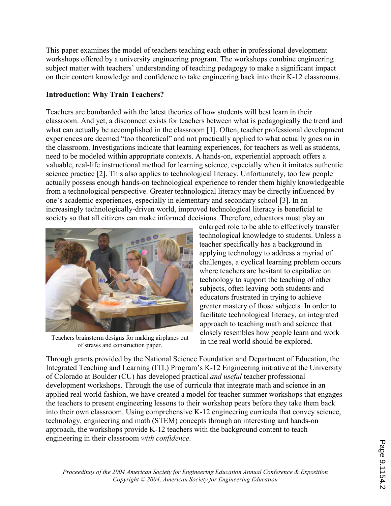This paper examines the model of teachers teaching each other in professional development workshops offered by a university engineering program. The workshops combine engineering subject matter with teachers' understanding of teaching pedagogy to make a significant impact on their content knowledge and confidence to take engineering back into their K-12 classrooms.

### Introduction: Why Train Teachers?

Teachers are bombarded with the latest theories of how students will best learn in their classroom. And yet, a disconnect exists for teachers between what is pedagogically the trend and what can actually be accomplished in the classroom [1]. Often, teacher professional development experiences are deemed "too theoretical" and not practically applied to what actually goes on in the classroom. Investigations indicate that learning experiences, for teachers as well as students, need to be modeled within appropriate contexts. A hands-on, experiential approach offers a valuable, real-life instructional method for learning science, especially when it imitates authentic science practice [2]. This also applies to technological literacy. Unfortunately, too few people actually possess enough hands-on technological experience to render them highly knowledgeable from a technological perspective. Greater technological literacy may be directly influenced by one's academic experiences, especially in elementary and secondary school [3]. In an increasingly technologically-driven world, improved technological literacy is beneficial to society so that all citizens can make informed decisions. Therefore, educators must play an



Teachers brainstorm designs for making airplanes out of straws and construction paper.

enlarged role to be able to effectively transfer technological knowledge to students. Unless a teacher specifically has a background in applying technology to address a myriad of challenges, a cyclical learning problem occurs where teachers are hesitant to capitalize on technology to support the teaching of other subjects, often leaving both students and educators frustrated in trying to achieve greater mastery of those subjects. In order to facilitate technological literacy, an integrated approach to teaching math and science that closely resembles how people learn and work in the real world should be explored.

Through grants provided by the National Science Foundation and Department of Education, the Integrated Teaching and Learning (ITL) Program's K-12 Engineering initiative at the University of Colorado at Boulder (CU) has developed practical and useful teacher professional development workshops. Through the use of curricula that integrate math and science in an applied real world fashion, we have created a model for teacher summer workshops that engages the teachers to present engineering lessons to their workshop peers before they take them back into their own classroom. Using comprehensive K-12 engineering curricula that convey science, technology, engineering and math (STEM) concepts through an interesting and hands-on approach, the workshops provide K-12 teachers with the background content to teach engineering in their classroom with confidence.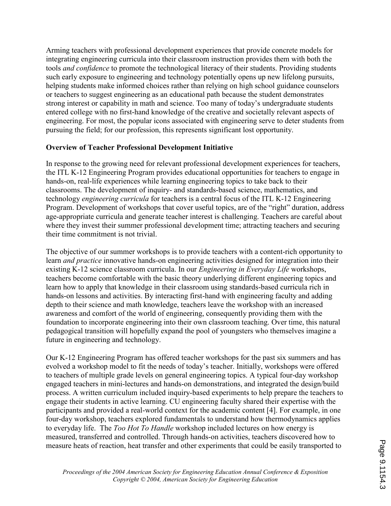Arming teachers with professional development experiences that provide concrete models for integrating engineering curricula into their classroom instruction provides them with both the tools and confidence to promote the technological literacy of their students. Providing students such early exposure to engineering and technology potentially opens up new lifelong pursuits, helping students make informed choices rather than relying on high school guidance counselors or teachers to suggest engineering as an educational path because the student demonstrates strong interest or capability in math and science. Too many of today's undergraduate students entered college with no first-hand knowledge of the creative and societally relevant aspects of engineering. For most, the popular icons associated with engineering serve to deter students from pursuing the field; for our profession, this represents significant lost opportunity.

#### Overview of Teacher Professional Development Initiative

In response to the growing need for relevant professional development experiences for teachers, the ITL K-12 Engineering Program provides educational opportunities for teachers to engage in hands-on, real-life experiences while learning engineering topics to take back to their classrooms. The development of inquiry- and standards-based science, mathematics, and technology engineering curricula for teachers is a central focus of the ITL K-12 Engineering Program. Development of workshops that cover useful topics, are of the "right" duration, address age-appropriate curricula and generate teacher interest is challenging. Teachers are careful about where they invest their summer professional development time; attracting teachers and securing their time commitment is not trivial.

The objective of our summer workshops is to provide teachers with a content-rich opportunity to learn and practice innovative hands-on engineering activities designed for integration into their existing K-12 science classroom curricula. In our Engineering in Everyday Life workshops, teachers become comfortable with the basic theory underlying different engineering topics and learn how to apply that knowledge in their classroom using standards-based curricula rich in hands-on lessons and activities. By interacting first-hand with engineering faculty and adding depth to their science and math knowledge, teachers leave the workshop with an increased awareness and comfort of the world of engineering, consequently providing them with the foundation to incorporate engineering into their own classroom teaching. Over time, this natural pedagogical transition will hopefully expand the pool of youngsters who themselves imagine a future in engineering and technology.

Our K-12 Engineering Program has offered teacher workshops for the past six summers and has evolved a workshop model to fit the needs of today's teacher. Initially, workshops were offered to teachers of multiple grade levels on general engineering topics. A typical four-day workshop engaged teachers in mini-lectures and hands-on demonstrations, and integrated the design/build process. A written curriculum included inquiry-based experiments to help prepare the teachers to engage their students in active learning. CU engineering faculty shared their expertise with the participants and provided a real-world context for the academic content [4]. For example, in one four-day workshop, teachers explored fundamentals to understand how thermodynamics applies to everyday life. The Too Hot To Handle workshop included lectures on how energy is measured, transferred and controlled. Through hands-on activities, teachers discovered how to measure heats of reaction, heat transfer and other experiments that could be easily transported to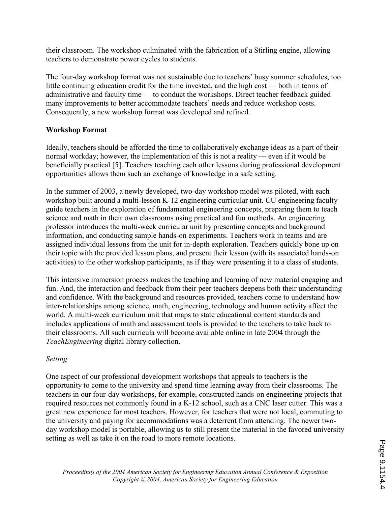their classroom. The workshop culminated with the fabrication of a Stirling engine, allowing teachers to demonstrate power cycles to students.

The four-day workshop format was not sustainable due to teachers' busy summer schedules, too little continuing education credit for the time invested, and the high cost — both in terms of administrative and faculty time — to conduct the workshops. Direct teacher feedback guided many improvements to better accommodate teachers' needs and reduce workshop costs. Consequently, a new workshop format was developed and refined.

## Workshop Format

Ideally, teachers should be afforded the time to collaboratively exchange ideas as a part of their normal workday; however, the implementation of this is not a reality — even if it would be beneficially practical [5]. Teachers teaching each other lessons during professional development opportunities allows them such an exchange of knowledge in a safe setting.

In the summer of 2003, a newly developed, two-day workshop model was piloted, with each workshop built around a multi-lesson K-12 engineering curricular unit. CU engineering faculty guide teachers in the exploration of fundamental engineering concepts, preparing them to teach science and math in their own classrooms using practical and fun methods. An engineering professor introduces the multi-week curricular unit by presenting concepts and background information, and conducting sample hands-on experiments. Teachers work in teams and are assigned individual lessons from the unit for in-depth exploration. Teachers quickly bone up on their topic with the provided lesson plans, and present their lesson (with its associated hands-on activities) to the other workshop participants, as if they were presenting it to a class of students.

This intensive immersion process makes the teaching and learning of new material engaging and fun. And, the interaction and feedback from their peer teachers deepens both their understanding and confidence. With the background and resources provided, teachers come to understand how inter-relationships among science, math, engineering, technology and human activity affect the world. A multi-week curriculum unit that maps to state educational content standards and includes applications of math and assessment tools is provided to the teachers to take back to their classrooms. All such curricula will become available online in late 2004 through the TeachEngineering digital library collection.

## Setting

One aspect of our professional development workshops that appeals to teachers is the opportunity to come to the university and spend time learning away from their classrooms. The teachers in our four-day workshops, for example, constructed hands-on engineering projects that required resources not commonly found in a K-12 school, such as a CNC laser cutter. This was a great new experience for most teachers. However, for teachers that were not local, commuting to the university and paying for accommodations was a deterrent from attending. The newer twoday workshop model is portable, allowing us to still present the material in the favored university setting as well as take it on the road to more remote locations.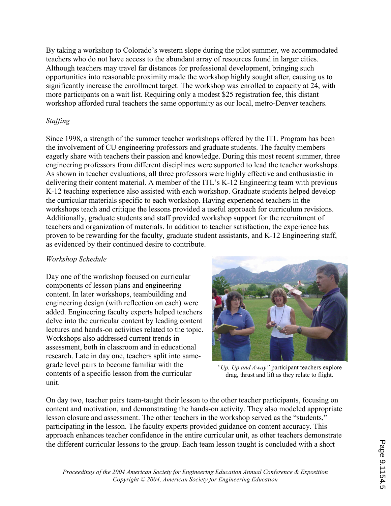By taking a workshop to Colorado's western slope during the pilot summer, we accommodated teachers who do not have access to the abundant array of resources found in larger cities. Although teachers may travel far distances for professional development, bringing such opportunities into reasonable proximity made the workshop highly sought after, causing us to significantly increase the enrollment target. The workshop was enrolled to capacity at 24, with more participants on a wait list. Requiring only a modest \$25 registration fee, this distant workshop afforded rural teachers the same opportunity as our local, metro-Denver teachers.

### Staffing

Since 1998, a strength of the summer teacher workshops offered by the ITL Program has been the involvement of CU engineering professors and graduate students. The faculty members eagerly share with teachers their passion and knowledge. During this most recent summer, three engineering professors from different disciplines were supported to lead the teacher workshops. As shown in teacher evaluations, all three professors were highly effective and enthusiastic in delivering their content material. A member of the ITL's K-12 Engineering team with previous K-12 teaching experience also assisted with each workshop. Graduate students helped develop the curricular materials specific to each workshop. Having experienced teachers in the workshops teach and critique the lessons provided a useful approach for curriculum revisions. Additionally, graduate students and staff provided workshop support for the recruitment of teachers and organization of materials. In addition to teacher satisfaction, the experience has proven to be rewarding for the faculty, graduate student assistants, and K-12 Engineering staff, as evidenced by their continued desire to contribute.

#### Workshop Schedule

Day one of the workshop focused on curricular components of lesson plans and engineering content. In later workshops, teambuilding and engineering design (with reflection on each) were added. Engineering faculty experts helped teachers delve into the curricular content by leading content lectures and hands-on activities related to the topic. Workshops also addressed current trends in assessment, both in classroom and in educational research. Late in day one, teachers split into samegrade level pairs to become familiar with the contents of a specific lesson from the curricular unit.



"Up, Up and Away" participant teachers explore drag, thrust and lift as they relate to flight.

On day two, teacher pairs team-taught their lesson to the other teacher participants, focusing on content and motivation, and demonstrating the hands-on activity. They also modeled appropriate lesson closure and assessment. The other teachers in the workshop served as the "students," participating in the lesson. The faculty experts provided guidance on content accuracy. This approach enhances teacher confidence in the entire curricular unit, as other teachers demonstrate the different curricular lessons to the group. Each team lesson taught is concluded with a short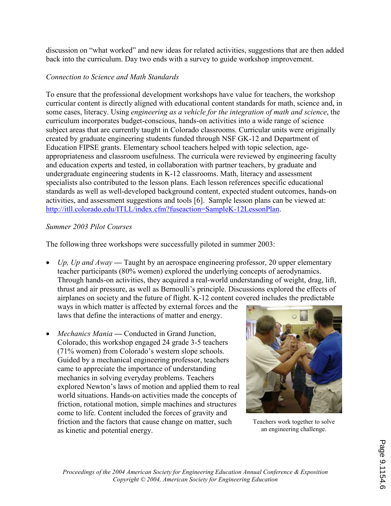discussion on "what worked" and new ideas for related activities, suggestions that are then added back into the curriculum. Day two ends with a survey to guide workshop improvement.

## Connection to Science and Math Standards

To ensure that the professional development workshops have value for teachers, the workshop curricular content is directly aligned with educational content standards for math, science and, in some cases, literacy. Using engineering as a vehicle for the integration of math and science, the curriculum incorporates budget-conscious, hands-on activities into a wide range of science subject areas that are currently taught in Colorado classrooms. Curricular units were originally created by graduate engineering students funded through NSF GK-12 and Department of Education FIPSE grants. Elementary school teachers helped with topic selection, ageappropriateness and classroom usefulness. The curricula were reviewed by engineering faculty and education experts and tested, in collaboration with partner teachers, by graduate and undergraduate engineering students in K-12 classrooms. Math, literacy and assessment specialists also contributed to the lesson plans. Each lesson references specific educational standards as well as well-developed background content, expected student outcomes, hands-on activities, and assessment suggestions and tools [6]. Sample lesson plans can be viewed at: http://itll.colorado.edu/ITLL/index.cfm?fuseaction=SampleK-12LessonPlan.

#### Summer 2003 Pilot Courses

The following three workshops were successfully piloted in summer 2003:

• Up, Up and  $A$ way — Taught by an aerospace engineering professor, 20 upper elementary teacher participants (80% women) explored the underlying concepts of aerodynamics. Through hands-on activities, they acquired a real-world understanding of weight, drag, lift, thrust and air pressure, as well as Bernoulli's principle. Discussions explored the effects of airplanes on society and the future of flight. K-12 content covered includes the predictable

ways in which matter is affected by external forces and the laws that define the interactions of matter and energy.

• Mechanics Mania — Conducted in Grand Junction, Colorado, this workshop engaged 24 grade 3-5 teachers (71% women) from Colorado's western slope schools. Guided by a mechanical engineering professor, teachers came to appreciate the importance of understanding mechanics in solving everyday problems. Teachers explored Newton's laws of motion and applied them to real world situations. Hands-on activities made the concepts of friction, rotational motion, simple machines and structures come to life. Content included the forces of gravity and friction and the factors that cause change on matter, such as kinetic and potential energy.



Teachers work together to solve an engineering challenge.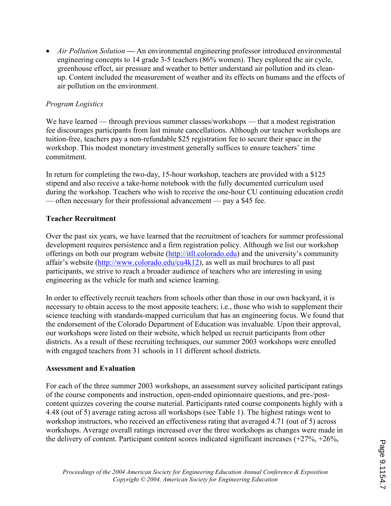• Air Pollution Solution — An environmental engineering professor introduced environmental engineering concepts to 14 grade 3-5 teachers (86% women). They explored the air cycle, greenhouse effect, air pressure and weather to better understand air pollution and its cleanup. Content included the measurement of weather and its effects on humans and the effects of air pollution on the environment.

#### Program Logistics

We have learned — through previous summer classes/workshops — that a modest registration fee discourages participants from last minute cancellations. Although our teacher workshops are tuition-free, teachers pay a non-refundable \$25 registration fee to secure their space in the workshop. This modest monetary investment generally suffices to ensure teachers' time commitment.

In return for completing the two-day, 15-hour workshop, teachers are provided with a \$125 stipend and also receive a take-home notebook with the fully documented curriculum used during the workshop. Teachers who wish to receive the one-hour CU continuing education credit — often necessary for their professional advancement — pay a \$45 fee.

#### Teacher Recruitment

Over the past six years, we have learned that the recruitment of teachers for summer professional development requires persistence and a firm registration policy. Although we list our workshop offerings on both our program website (http://itll.colorado.edu) and the university's community affair's website (http://www.colorado.edu/cu4k12), as well as mail brochures to all past participants, we strive to reach a broader audience of teachers who are interesting in using engineering as the vehicle for math and science learning.

In order to effectively recruit teachers from schools other than those in our own backyard, it is necessary to obtain access to the most apposite teachers; i.e., those who wish to supplement their science teaching with standards-mapped curriculum that has an engineering focus. We found that the endorsement of the Colorado Department of Education was invaluable. Upon their approval, our workshops were listed on their website, which helped us recruit participants from other districts. As a result of these recruiting techniques, our summer 2003 workshops were enrolled with engaged teachers from 31 schools in 11 different school districts.

#### Assessment and Evaluation

For each of the three summer 2003 workshops, an assessment survey solicited participant ratings of the course components and instruction, open-ended opinionnaire questions, and pre-/postcontent quizzes covering the course material. Participants rated course components highly with a 4.48 (out of 5) average rating across all workshops (see Table 1). The highest ratings went to workshop instructors, who received an effectiveness rating that averaged 4.71 (out of 5) across workshops. Average overall ratings increased over the three workshops as changes were made in the delivery of content. Participant content scores indicated significant increases (+27%, +26%,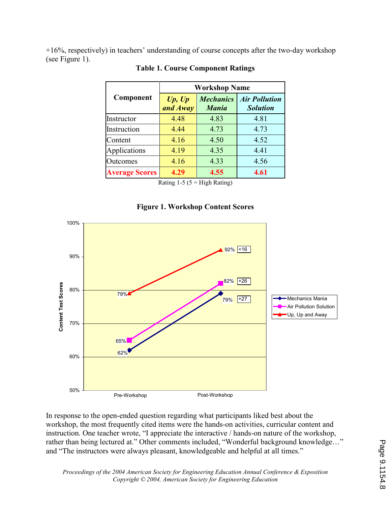+16%, respectively) in teachers' understanding of course concepts after the two-day workshop (see Figure 1).

|                       | <b>Workshop Name</b> |                                  |                                         |
|-----------------------|----------------------|----------------------------------|-----------------------------------------|
| Component             | Up, Up<br>and Away   | <b>Mechanics</b><br><b>Mania</b> | <b>Air Pollution</b><br><b>Solution</b> |
| Instructor            | 4.48                 | 4.83                             | 4.81                                    |
| Instruction           | 4.44                 | 4.73                             | 4.73                                    |
| Content               | 4.16                 | 4.50                             | 4.52                                    |
| Applications          | 4.19                 | 4.35                             | 4.41                                    |
| Outcomes              | 4.16                 | 4.33                             | 4.56                                    |
| <b>Average Scores</b> | 4.29                 | 4.55                             | 4.61                                    |

#### Table 1. Course Component Ratings

Rating  $1-5$  ( $5 =$  High Rating)

#### Figure 1. Workshop Content Scores



In response to the open-ended question regarding what participants liked best about the workshop, the most frequently cited items were the hands-on activities, curricular content and instruction. One teacher wrote, "I appreciate the interactive / hands-on nature of the workshop, rather than being lectured at." Other comments included, "Wonderful background knowledge…" and "The instructors were always pleasant, knowledgeable and helpful at all times."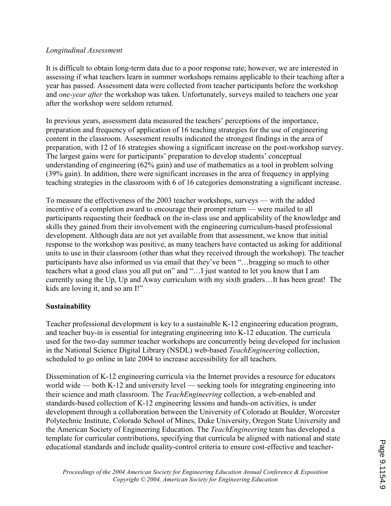#### Longitudinal Assessment

It is difficult to obtain long-term data due to a poor response rate; however, we are interested in assessing if what teachers learn in summer workshops remains applicable to their teaching after a year has passed. Assessment data were collected from teacher participants before the workshop and one-year after the workshop was taken. Unfortunately, surveys mailed to teachers one year after the workshop were seldom returned.

In previous years, assessment data measured the teachers' perceptions of the importance, preparation and frequency of application of 16 teaching strategies for the use of engineering content in the classroom. Assessment results indicated the strongest findings in the area of preparation, with 12 of 16 strategies showing a significant increase on the post-workshop survey. The largest gains were for participants' preparation to develop students' conceptual understanding of engineering (62% gain) and use of mathematics as a tool in problem solving (39% gain). In addition, there were significant increases in the area of frequency in applying teaching strategies in the classroom with 6 of 16 categories demonstrating a significant increase.

To measure the effectiveness of the 2003 teacher workshops, surveys — with the added incentive of a completion award to encourage their prompt return — were mailed to all participants requesting their feedback on the in-class use and applicability of the knowledge and skills they gained from their involvement with the engineering curriculum-based professional development. Although data are not yet available from that assessment, we know that initial response to the workshop was positive, as many teachers have contacted us asking for additional units to use in their classroom (other than what they received through the workshop). The teacher participants have also informed us via email that they've been "…bragging so much to other teachers what a good class you all put on" and "…I just wanted to let you know that I am currently using the Up, Up and Away curriculum with my sixth graders…It has been great! The kids are loving it, and so am I!"

#### Sustainability

Teacher professional development is key to a sustainable K-12 engineering education program, and teacher buy-in is essential for integrating engineering into K-12 education. The curricula used for the two-day summer teacher workshops are concurrently being developed for inclusion in the National Science Digital Library (NSDL) web-based TeachEngineering collection, scheduled to go online in late 2004 to increase accessibility for all teachers.

Dissemination of K-12 engineering curricula via the Internet provides a resource for educators world wide — both K-12 and university level — seeking tools for integrating engineering into their science and math classroom. The *TeachEngineering* collection, a web-enabled and standards-based collection of K-12 engineering lessons and hands-on activities, is under development through a collaboration between the University of Colorado at Boulder, Worcester Polytechnic Institute, Colorado School of Mines, Duke University, Oregon State University and the American Society of Engineering Education. The TeachEngineering team has developed a template for curricular contributions, specifying that curricula be aligned with national and state educational standards and include quality-control criteria to ensure cost-effective and teacher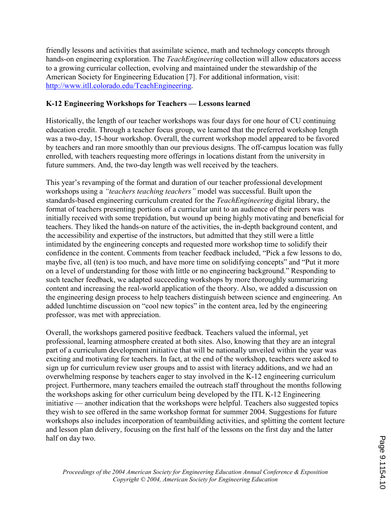friendly lessons and activities that assimilate science, math and technology concepts through hands-on engineering exploration. The *TeachEngineering* collection will allow educators access to a growing curricular collection, evolving and maintained under the stewardship of the American Society for Engineering Education [7]. For additional information, visit: http://www.itll.colorado.edu/TeachEngineering.

### K-12 Engineering Workshops for Teachers — Lessons learned

Historically, the length of our teacher workshops was four days for one hour of CU continuing education credit. Through a teacher focus group, we learned that the preferred workshop length was a two-day, 15-hour workshop. Overall, the current workshop model appeared to be favored by teachers and ran more smoothly than our previous designs. The off-campus location was fully enrolled, with teachers requesting more offerings in locations distant from the university in future summers. And, the two-day length was well received by the teachers.

This year's revamping of the format and duration of our teacher professional development workshops using a "teachers teaching teachers" model was successful. Built upon the standards-based engineering curriculum created for the TeachEngineering digital library, the format of teachers presenting portions of a curricular unit to an audience of their peers was initially received with some trepidation, but wound up being highly motivating and beneficial for teachers. They liked the hands-on nature of the activities, the in-depth background content, and the accessibility and expertise of the instructors, but admitted that they still were a little intimidated by the engineering concepts and requested more workshop time to solidify their confidence in the content. Comments from teacher feedback included, "Pick a few lessons to do, maybe five, all (ten) is too much, and have more time on solidifying concepts" and "Put it more on a level of understanding for those with little or no engineering background." Responding to such teacher feedback, we adapted succeeding workshops by more thoroughly summarizing content and increasing the real-world application of the theory. Also, we added a discussion on the engineering design process to help teachers distinguish between science and engineering. An added lunchtime discussion on "cool new topics" in the content area, led by the engineering professor, was met with appreciation.

Overall, the workshops garnered positive feedback. Teachers valued the informal, yet professional, learning atmosphere created at both sites. Also, knowing that they are an integral part of a curriculum development initiative that will be nationally unveiled within the year was exciting and motivating for teachers. In fact, at the end of the workshop, teachers were asked to sign up for curriculum review user groups and to assist with literacy additions, and we had an overwhelming response by teachers eager to stay involved in the K-12 engineering curriculum project. Furthermore, many teachers emailed the outreach staff throughout the months following the workshops asking for other curriculum being developed by the ITL K-12 Engineering initiative — another indication that the workshops were helpful. Teachers also suggested topics they wish to see offered in the same workshop format for summer 2004. Suggestions for future workshops also includes incorporation of teambuilding activities, and splitting the content lecture and lesson plan delivery, focusing on the first half of the lessons on the first day and the latter half on day two.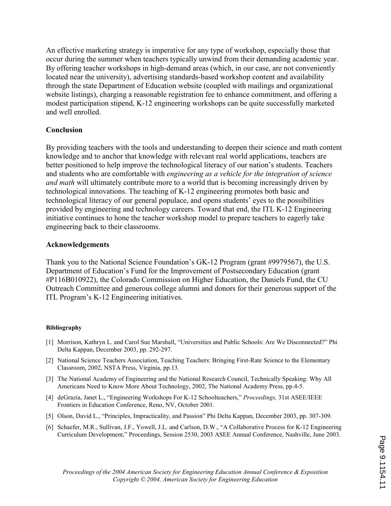An effective marketing strategy is imperative for any type of workshop, especially those that occur during the summer when teachers typically unwind from their demanding academic year. By offering teacher workshops in high-demand areas (which, in our case, are not conveniently located near the university), advertising standards-based workshop content and availability through the state Department of Education website (coupled with mailings and organizational website listings), charging a reasonable registration fee to enhance commitment, and offering a modest participation stipend, K-12 engineering workshops can be quite successfully marketed and well enrolled.

#### Conclusion

By providing teachers with the tools and understanding to deepen their science and math content knowledge and to anchor that knowledge with relevant real world applications, teachers are better positioned to help improve the technological literacy of our nation's students. Teachers and students who are comfortable with engineering as a vehicle for the integration of science and math will ultimately contribute more to a world that is becoming increasingly driven by technological innovations. The teaching of K-12 engineering promotes both basic and technological literacy of our general populace, and opens students' eyes to the possibilities provided by engineering and technology careers. Toward that end, the ITL K-12 Engineering initiative continues to hone the teacher workshop model to prepare teachers to eagerly take engineering back to their classrooms.

#### Acknowledgements

Thank you to the National Science Foundation's GK-12 Program (grant #9979567), the U.S. Department of Education's Fund for the Improvement of Postsecondary Education (grant #P116B010922), the Colorado Commission on Higher Education, the Daniels Fund, the CU Outreach Committee and generous college alumni and donors for their generous support of the ITL Program's K-12 Engineering initiatives.

#### Bibliography

- [1] Morrison, Kathryn L. and Carol Sue Marshall, "Universities and Public Schools: Are We Disconnected?" Phi Delta Kappan, December 2003, pp. 292-297.
- [2] National Science Teachers Association, Teaching Teachers: Bringing First-Rate Science to the Elementary Classroom, 2002, NSTA Press, Virginia, pp.13.
- [3] The National Academy of Engineering and the National Research Council, Technically Speaking: Why All Americans Need to Know More About Technology, 2002, The National Academy Press, pp.4-5.
- [4] deGrazia, Janet L., "Engineering Workshops For K-12 Schoolteachers," Proceedings, 31st ASEE/IEEE Frontiers in Education Conference, Reno, NV, October 2001.
- [5] Olson, David L., "Principles, Impracticality, and Passion" Phi Delta Kappan, December 2003, pp. 307-309.
- [6] Schaefer, M.R., Sullivan, J.F., Yowell, J.L. and Carlson, D.W., "A Collaborative Process for K-12 Engineering Curriculum Development," Proceedings, Session 2530, 2003 ASEE Annual Conference, Nashville, June 2003.